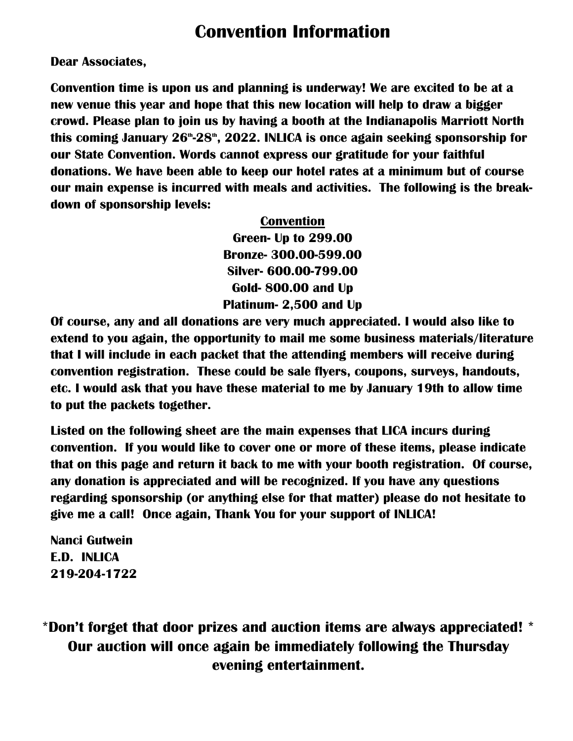## **Convention Information**

**Dear Associates,** 

**Convention time is upon us and planning is underway! We are excited to be at a new venue this year and hope that this new location will help to draw a bigger crowd. Please plan to join us by having a booth at the Indianapolis Marriott North**  this coming January 26<sup>th</sup>-28<sup>th</sup>, 2022. INLICA is once again seeking sponsorship for **our State Convention. Words cannot express our gratitude for your faithful donations. We have been able to keep our hotel rates at a minimum but of course our main expense is incurred with meals and activities. The following is the breakdown of sponsorship levels:** 

> **Convention Green- Up to 299.00 Bronze- 300.00-599.00 Silver- 600.00-799.00 Gold- 800.00 and Up Platinum- 2,500 and Up**

**Of course, any and all donations are very much appreciated. I would also like to extend to you again, the opportunity to mail me some business materials/literature that I will include in each packet that the attending members will receive during convention registration. These could be sale flyers, coupons, surveys, handouts, etc. I would ask that you have these material to me by January 19th to allow time to put the packets together.** 

**Listed on the following sheet are the main expenses that LICA incurs during convention. If you would like to cover one or more of these items, please indicate that on this page and return it back to me with your booth registration. Of course, any donation is appreciated and will be recognized. If you have any questions regarding sponsorship (or anything else for that matter) please do not hesitate to give me a call! Once again, Thank You for your support of INLICA!** 

**Nanci Gutwein E.D. INLICA 219-204-1722** 

**\*Don't forget that door prizes and auction items are always appreciated! \* Our auction will once again be immediately following the Thursday evening entertainment.**